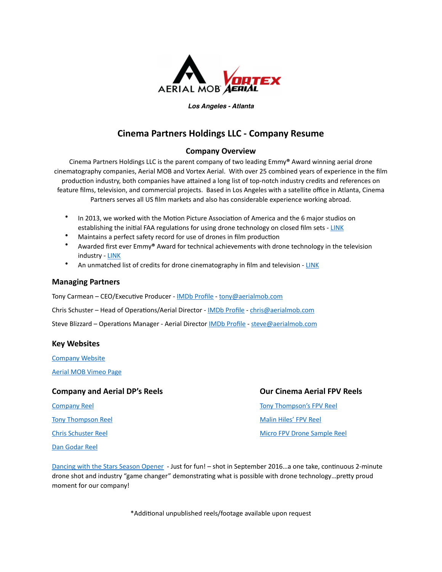

#### *Los Angeles - Atlanta*

# **Cinema Partners Holdings LLC - Company Resume**

### **Company Overview**

Cinema Partners Holdings LLC is the parent company of two leading Emmy<sup>®</sup> Award winning aerial drone cinematography companies, Aerial MOB and Vortex Aerial. With over 25 combined years of experience in the film production industry, both companies have attained a long list of top-notch industry credits and references on feature films, television, and commercial projects. Based in Los Angeles with a satellite office in Atlanta, Cinema Partners serves all US film markets and also has considerable experience working abroad.

- In 2013, we worked with the Motion Picture Association of America and the 6 major studios on establishing the initial FAA regulations for using drone technology on closed film sets - LINK
- Maintains a perfect safety record for use of drones in film production
- Awarded first ever Emmy® Award for technical achievements with drone technology in the television industry - [LINK](https://aerialmob.com/project_list/industry-first-emmy-award/)
- An unmatched list of credits for drone cinematography in film and television [LINK](https://aerialmob.com/credits/)

#### **Managing Partners**

Tony Carmean - CEO/Executive Producer - IMDb Profile - tony@aerialmob.com

Chris Schuster - Head of Operations/Aerial Director - IMDb Profile - chris@aerialmob.com

Steve Blizzard – Operations Manager - Aerial Director IMDb Profile - steve@aerialmob.com

### **Key Websites**

[Company Website](https://aerialmob.com/) 

[Aerial MOB Vimeo Page](https://vimeo.com/aerialmob)

### **Company and Aerial DP's Reels**  *<b>Company and Aerial DP's Reels* *Company and Aerial DP's Reels*

Tony Thompson Reel **The Company Company Company Company Company Company Company Company Company Company Company Company Company Company Company Company Company Company Company Company Company Company Company Company Compan** [Dan](https://vimeo.com/432639683) Godar Reel

Company Reel **Company Reel Company Reel Company Reel** *Now Tony Thompson's* **FPV Reel** 

Chris Schuster Reel **Chris** Schuster Reel **XIII** *Chris Schuster Reel Micro FPV Drone Sample Reel* 

Dancing with the Stars Season Opener - Just for fun! – shot in September 2016. a one take, continuous 2-minute drone shot and industry "game changer" demonstrating what is possible with drone technology...pretty proud moment for our company!

\*Additional unpublished reels/footage available upon request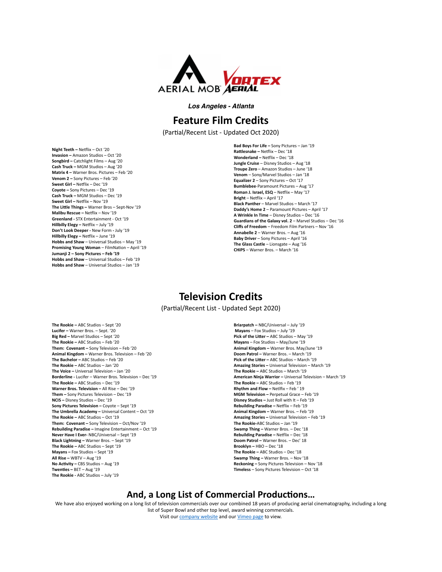

*Los Angeles - Atlanta* 

# **Feature Film Credits**

(Partial/Recent List - Updated Oct 2020)

**Night Teeth – Netflix – Oct '20 Invasion** – Amazon Studios – Oct '20 **Songbird – Catchlight Films – Aug '20 Cash Truck - MGM Studios - Aug '20 Matrix 4 - Warner Bros. Pictures - Feb '20 Venom 2** – Sony Pictures – Feb '20 **Sweet Girl – Netflix – Dec '19 Coyote** – Sony Pictures – Dec '19 **Cash Truck – MGM Studios – Dec '19 Sweet Girl – Netflix – Nov '19** The Little Things - Warner Bros - Sept-Nov '19 **Malibu Rescue – Netflix – Nov '19 Greenland** - STX Entertainment - Oct '19 **Hillbilly Elegy** – Netflix – July '19 **Don't Look Deeper - New Form - July '19 Hillbilly Elegy** – Netflix – June '19 **Hobbs and Shaw** – Universal Studios – May '19 **Promising Young Woman** – FilmNation – April '19 Jumanji 2 – Sony Pictures – Feb '19 **Hobbs and Shaw** – Universal Studios – Feb '19 **Hobbs and Shaw** – Universal Studios – Jan '19

**Bad Boys For Life** – Sony Pictures – Jan '19 **Rattlesnake** – Netflix – Dec '18 **Wonderland** – Netflix – Dec '18 **Jungle Cruise** – Disney Studios – Aug '18 **Troupe Zero** – Amazon Studios – June '18 **Venom** – Sony/Marvel Studios – Jan '18 **Equalizer 2** – Sony Pictures – Oct '17 **Bumblebee**-Paramount Pictures - Aug '17 **Roman J. Israel, ESQ** – Netflix – May '17 **Bright** – Netflix – April '17 **Black Panther** – Marvel Studios – March '17 **Daddy's Home 2** – Paramount Pictures – April '17 **A Wrinkle In Time** – Disney Studios – Dec '16 **Guardians of the Galaxy vol. 2** – Marvel Studios – Dec '16 **Cliffs of Freedom** – Freedom Film Partners – Nov '16 **Annabelle 2** – Warner Bros. – Aug '16 **Baby Driver** – Sony Pictures – April '16 **The Glass Castle** – Lionsgate – Aug '16 **CHiPS** – Warner Bros. – March '16

# **Television Credits**

(Partial/Recent List - Updated Sept 2020)

**The Rookie – ABC Studios – Sept '20** Lucifer – Warner Bros. – Sept. '20 **Big Red** – Marvel Studios – Sept '20 **The Rookie – ABC Studios – Feb '20** Them: Covenant - Sony Television - Feb '20 **Animal Kingdom** – Warner Bros. Television – Feb '20 **The Bachelor** – ABC Studios – Feb '20 The Rookie - ABC Studios - Jan '20 **The Voice** – Universal Television – Jan '20 **Borderline** - Lucifer – Warner Bros. Television – Dec '19 The Rookie - ABC Studios - Dec '19 **Warner Bros. Television** – All Rise – Dec '19 Them - Sony Pictures Television - Dec '19 **NCIS** – Disney Studios – Dec '19 **Sony Pictures Television – Coyote – Sept '19** The Umbrella Academy – Universal Content – Oct '19 The Rookie - ABC Studios - Oct '19 **Them: Covenant** – Sony Television – Oct/Nov '19 **Rebuilding Paradise** – Imagine Entertainment – Oct '19 **Never Have I Ever- NBC/Universal - Sept '19 Black Lightning** – Warner Bros. – Sept '19 The Rookie - ABC Studios - Sept '19 **Mayans** – Fox Studios – Sept '19 **All Rise** – WBTV – Aug '19 **No Activity** – CBS Studios – Aug '19 Twenties - BET - Aug '19 **The Rookie** - ABC Studios – July '19

**Briarpatch** – NBC/Universal – July '19 **Mayans** – Fox Studios – July '19 **Pick of the Litter – ABC Studios – May '19 Mayans** – Fox Studios – May/June '19 **Animal Kingdom - Warner Bros. May/June '19 Doom Patrol** – Warner Bros. – March '19 **Pick of the Litter – ABC Studios – March '19** Amazing Stories - Universal Television - March '19 The Rookie - ABC Studios - March '19 **American Ninja Warrior** – Universal Television – March '19 The Rookie - ABC Studios - Feb '19 **Rhythm and Flow** – Netlfix – Feb ' 19 **MGM Television** – Perpetual Grace – Feb '19 **Disney Studios** – Just Roll with It – Feb '19 **Rebuilding Paradise** – Netflix – Feb '19 **Animal Kingdom** – Warner Bros. – Feb '19 Amazing Stories - Universal Television - Feb '19 The Rookie-ABC Studios - Jan '19 **Swamp Thing** – Warner Bros. – Dec '18 **Rebuilding Paradise - Netflix - Dec '18** Doom Patrol – Warner Bros. – Dec' 18 **Brooklyn** – HBO – Dec '18 **The Rookie** – ABC Studios – Dec '18 **Swamp Thing** – Warner Bros. – Nov '18 **Reckoning** – Sony Pictures Television – Nov '18 **Timeless** – Sony Pictures Television – Oct '18

### And, a Long List of Commercial Productions...

We have also enjoyed working on a long list of television commercials over our combined 18 years of producing aerial cinematography, including a long list of Super Bowl and other top level, award winning commercials. Visit our company website and our Vimeo page to view.